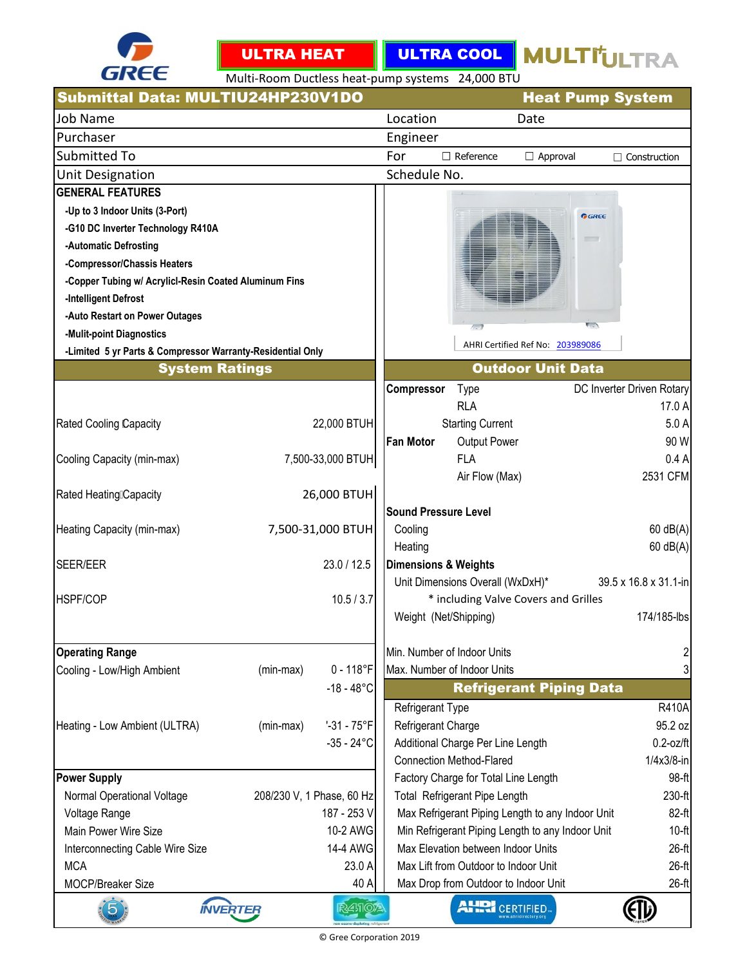



ULTRA COOL MULTITULTRA

Multi-Room Ductless heat-pump systems 24,000 BTU

| Submittal Data: MULTIU24HP230V1DO                          | <b>Heat Pump System</b>          |               |                                 |                                      |                                                  |                           |
|------------------------------------------------------------|----------------------------------|---------------|---------------------------------|--------------------------------------|--------------------------------------------------|---------------------------|
| <b>Job Name</b>                                            |                                  |               | Location                        |                                      | Date                                             |                           |
| Purchaser                                                  |                                  |               | Engineer                        |                                      |                                                  |                           |
| <b>Submitted To</b>                                        |                                  |               | For                             | $\Box$ Reference                     | $\Box$ Approval                                  | $\Box$ Construction       |
| <b>Unit Designation</b>                                    |                                  |               | Schedule No.                    |                                      |                                                  |                           |
| <b>GENERAL FEATURES</b>                                    |                                  |               |                                 |                                      |                                                  |                           |
| -Up to 3 Indoor Units (3-Port)                             |                                  |               |                                 |                                      | GREE                                             |                           |
| -G10 DC Inverter Technology R410A                          |                                  |               |                                 |                                      |                                                  |                           |
| -Automatic Defrosting                                      |                                  |               |                                 |                                      | <b>STATE</b>                                     |                           |
| -Compressor/Chassis Heaters                                |                                  |               |                                 |                                      |                                                  |                           |
| -Copper Tubing w/ Acrylicl-Resin Coated Aluminum Fins      |                                  |               |                                 |                                      |                                                  |                           |
| -Intelligent Defrost                                       |                                  |               |                                 |                                      |                                                  |                           |
| -Auto Restart on Power Outages                             |                                  |               |                                 | $/ - 1$                              | $\overline{\phantom{a}}$                         |                           |
| -Mulit-point Diagnostics                                   |                                  |               |                                 |                                      | AHRI Certified Ref No: 203989086                 |                           |
| -Limited 5 yr Parts & Compressor Warranty-Residential Only |                                  |               |                                 |                                      |                                                  |                           |
|                                                            | <b>System Ratings</b>            |               |                                 |                                      | <b>Outdoor Unit Data</b>                         |                           |
|                                                            |                                  |               | <b>Compressor</b>               | Type                                 |                                                  | DC Inverter Driven Rotary |
|                                                            |                                  |               |                                 | <b>RLA</b>                           |                                                  | 17.0 A                    |
| <b>Rated Cooling Capacity</b>                              | 22,000 BTUH                      |               |                                 | <b>Starting Current</b>              |                                                  | 5.0A                      |
|                                                            |                                  |               | <b>Fan Motor</b>                | Output Power                         |                                                  | 90 W                      |
| Cooling Capacity (min-max)                                 | 7,500-33,000 BTUH                |               |                                 | <b>FLA</b>                           |                                                  | 0.4A<br>2531 CFM          |
| Rated Heating Capacity                                     | 26,000 BTUH                      |               |                                 | Air Flow (Max)                       |                                                  |                           |
|                                                            |                                  |               | <b>Sound Pressure Level</b>     |                                      |                                                  |                           |
| Heating Capacity (min-max)                                 | 7,500-31,000 BTUH                |               | Cooling                         |                                      |                                                  | $60$ dB(A)                |
|                                                            |                                  |               | Heating                         |                                      |                                                  | $60$ dB(A)                |
| <b>SEER/EER</b>                                            | 23.0 / 12.5                      |               | <b>Dimensions &amp; Weights</b> |                                      |                                                  |                           |
|                                                            |                                  |               |                                 | Unit Dimensions Overall (WxDxH)*     |                                                  | 39.5 x 16.8 x 31.1-in     |
| <b>HSPF/COP</b>                                            | 10.5 / 3.7                       |               |                                 |                                      | * including Valve Covers and Grilles             |                           |
|                                                            |                                  |               | Weight (Net/Shipping)           |                                      |                                                  | 174/185-lbs               |
|                                                            |                                  |               |                                 |                                      |                                                  |                           |
| <b>Operating Range</b>                                     |                                  |               | Min. Number of Indoor Units     |                                      |                                                  | $\overline{c}$            |
| Cooling - Low/High Ambient                                 | $0 - 118$ °F<br>(min-max)        |               | Max. Number of Indoor Units     |                                      |                                                  | 3                         |
|                                                            | $-18 - 48^{\circ}$ C             |               |                                 |                                      | <b>Refrigerant Piping Data</b>                   |                           |
|                                                            |                                  |               | Refrigerant Type                |                                      |                                                  | <b>R410A</b>              |
| Heating - Low Ambient (ULTRA)                              | $-31 - 75^{\circ}F$<br>(min-max) |               | Refrigerant Charge              |                                      |                                                  | 95.2 oz                   |
|                                                            | $-35 - 24$ °C                    |               |                                 | Additional Charge Per Line Length    |                                                  | $0.2$ -oz/ft              |
|                                                            |                                  |               |                                 | <b>Connection Method-Flared</b>      |                                                  | $1/4x3/8$ -in             |
| <b>Power Supply</b>                                        |                                  |               |                                 | Factory Charge for Total Line Length |                                                  | 98-ft                     |
| Normal Operational Voltage                                 | 208/230 V, 1 Phase, 60 Hz        |               |                                 | Total Refrigerant Pipe Length        |                                                  | 230-ft                    |
| Voltage Range                                              | 187 - 253 V                      |               |                                 |                                      | Max Refrigerant Piping Length to any Indoor Unit | 82-ft                     |
| Main Power Wire Size                                       | 10-2 AWG                         |               |                                 |                                      | Min Refrigerant Piping Length to any Indoor Unit | $10-ft$                   |
| Interconnecting Cable Wire Size                            | 14-4 AWG                         |               |                                 | Max Elevation between Indoor Units   |                                                  | $26-ft$                   |
| <b>MCA</b>                                                 |                                  | 23.0 A        |                                 | Max Lift from Outdoor to Indoor Unit |                                                  | $26-ft$                   |
| <b>MOCP/Breaker Size</b>                                   |                                  | 40 A          |                                 | Max Drop from Outdoor to Indoor Unit |                                                  | 26-ft                     |
|                                                            | <b>INVERTER</b>                  | <b>R41104</b> |                                 | <b>AHRI CERTIFIED</b>                |                                                  |                           |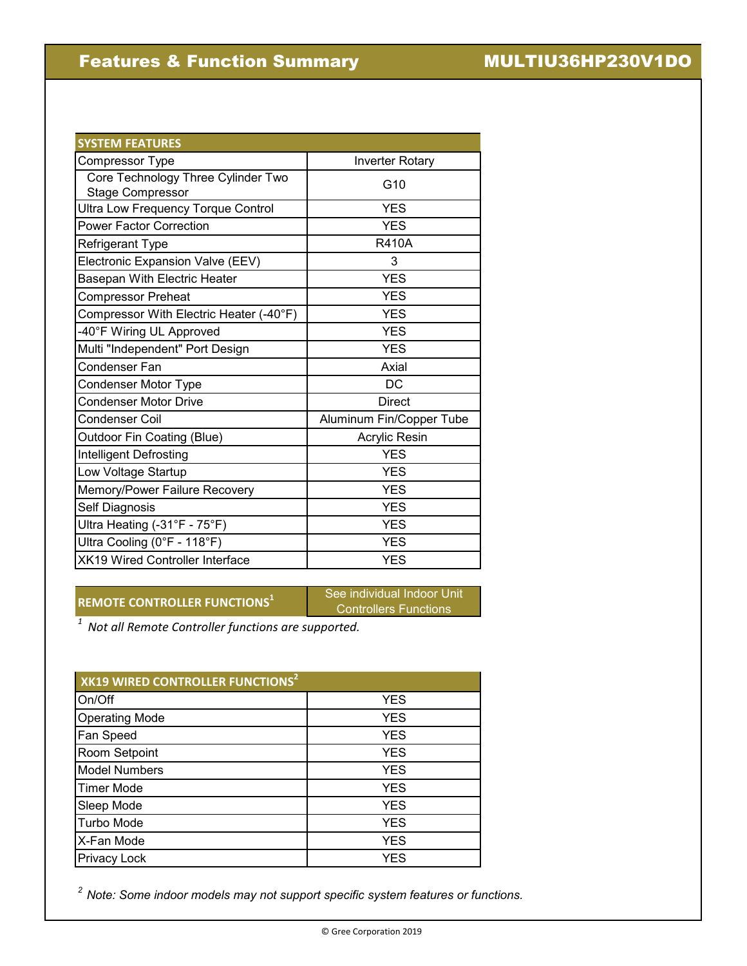## Features & Function Summary MULTIU36HP230V1DO

| <b>SYSTEM FEATURES</b>                                        |                          |
|---------------------------------------------------------------|--------------------------|
| Compressor Type                                               | <b>Inverter Rotary</b>   |
| Core Technology Three Cylinder Two<br><b>Stage Compressor</b> | G10                      |
| Ultra Low Frequency Torque Control                            | <b>YES</b>               |
| <b>Power Factor Correction</b>                                | <b>YES</b>               |
| Refrigerant Type                                              | <b>R410A</b>             |
| Electronic Expansion Valve (EEV)                              | 3                        |
| Basepan With Electric Heater                                  | <b>YES</b>               |
| <b>Compressor Preheat</b>                                     | <b>YES</b>               |
| Compressor With Electric Heater (-40°F)                       | <b>YES</b>               |
| -40°F Wiring UL Approved                                      | <b>YES</b>               |
| Multi "Independent" Port Design                               | <b>YES</b>               |
| Condenser Fan                                                 | Axial                    |
| Condenser Motor Type                                          | <b>DC</b>                |
| <b>Condenser Motor Drive</b>                                  | <b>Direct</b>            |
| Condenser Coil                                                | Aluminum Fin/Copper Tube |
| Outdoor Fin Coating (Blue)                                    | Acrylic Resin            |
| <b>Intelligent Defrosting</b>                                 | YES                      |
| Low Voltage Startup                                           | <b>YES</b>               |
| Memory/Power Failure Recovery                                 | <b>YES</b>               |
| Self Diagnosis                                                | <b>YES</b>               |
| Ultra Heating (-31°F - 75°F)                                  | <b>YES</b>               |
| Ultra Cooling (0°F - 118°F)                                   | <b>YES</b>               |
| XK19 Wired Controller Interface                               | <b>YES</b>               |

# **REMOTE CONTROLLER FUNCTIONS<sup>1</sup>** See individual Indoor Unit

Controllers Functions

*1 Not all Remote Controller functions are supported.* 

| XK19 WIRED CONTROLLER FUNCTIONS <sup>2</sup> |            |  |  |  |  |  |
|----------------------------------------------|------------|--|--|--|--|--|
| On/Off                                       | <b>YES</b> |  |  |  |  |  |
| <b>Operating Mode</b>                        | <b>YES</b> |  |  |  |  |  |
| Fan Speed                                    | <b>YES</b> |  |  |  |  |  |
| Room Setpoint                                | <b>YES</b> |  |  |  |  |  |
| <b>Model Numbers</b>                         | <b>YES</b> |  |  |  |  |  |
| <b>Timer Mode</b>                            | <b>YES</b> |  |  |  |  |  |
| Sleep Mode                                   | <b>YES</b> |  |  |  |  |  |
| <b>Turbo Mode</b>                            | <b>YES</b> |  |  |  |  |  |
| X-Fan Mode                                   | <b>YES</b> |  |  |  |  |  |
| <b>Privacy Lock</b>                          | <b>YES</b> |  |  |  |  |  |

*2 Note: Some indoor models may not support specific system features or functions.*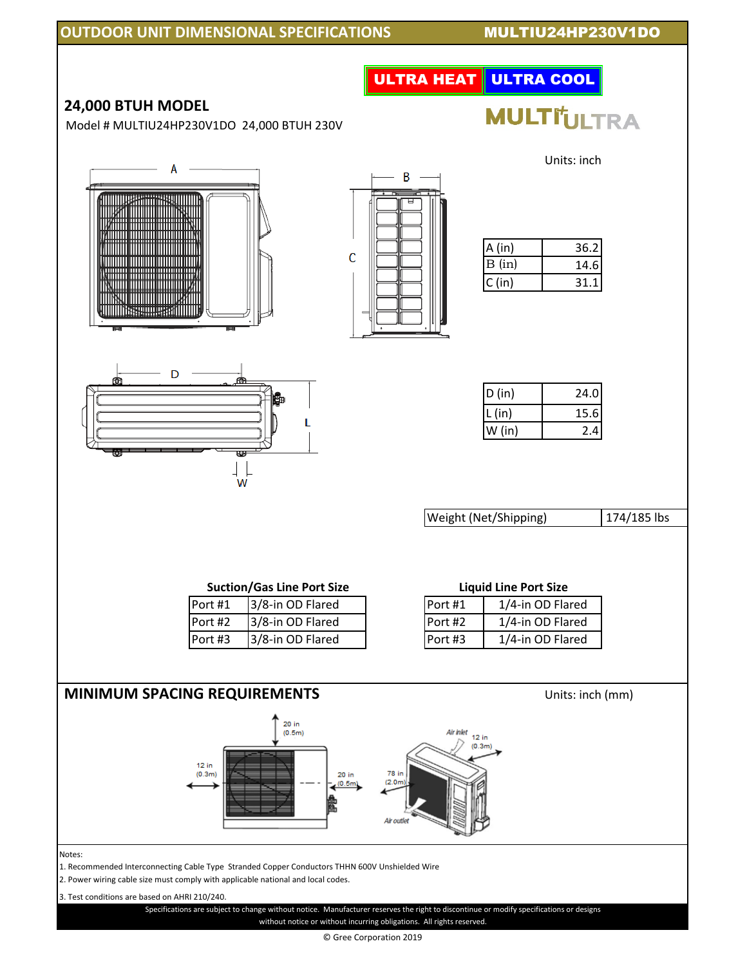### **OUTDOOR UNIT DIMENSIONAL SPECIFICATIONS MULTIU24HP230V1DO**

|                                                                                                                                                                                                                                               | <b>ULTRA HEAT ULTRA COOL</b>                                                                                                            |
|-----------------------------------------------------------------------------------------------------------------------------------------------------------------------------------------------------------------------------------------------|-----------------------------------------------------------------------------------------------------------------------------------------|
| 24,000 BTUH MODEL<br>Model # MULTIU24HP230V1DO 24,000 BTUH 230V                                                                                                                                                                               | <b>MULTI'ULTRA</b>                                                                                                                      |
|                                                                                                                                                                                                                                               | Units: inch<br>B                                                                                                                        |
| <u>THE TELEVISION OF THE TELEVISION OF THE TELEVISION OF THE TELEVISION OF THE TELEVISION OF THE TELEVISION OF T</u><br><del></del><br><u> III III III III III III III III II</u><br>C<br>su minimuszni                                       | 36.2<br>A(in)<br>B (in)<br>14.6<br>C (in)<br>31.1                                                                                       |
| D<br>₩<br>w                                                                                                                                                                                                                                   | D (in)<br>24.0<br>15.6<br>L(in)<br>2.4<br>$W$ (in)                                                                                      |
|                                                                                                                                                                                                                                               | 174/185 lbs<br>Weight (Net/Shipping)                                                                                                    |
| <b>Suction/Gas Line Port Size</b><br>Port #1 3/8-in OD Flared<br>3/8-in OD Flared<br>Port #2<br>3/8-in OD Flared<br>Port #3                                                                                                                   | <b>Liquid Line Port Size</b><br>Port #1<br>1/4-in OD Flared<br>Port #2<br>1/4-in OD Flared<br>1/4-in OD Flared<br>Port #3               |
| <b>MINIMUM SPACING REQUIREMENTS</b>                                                                                                                                                                                                           | Units: inch (mm)                                                                                                                        |
| 20 in<br>(0.5m)<br>12 in<br>(0.3m)<br>$20$ in<br>(0.5m)                                                                                                                                                                                       | Air inlet<br>12 in<br>(0.3m)<br>78 in<br>(2.0m)<br>Air outlet                                                                           |
| Notes:<br>1. Recommended Interconnecting Cable Type Stranded Copper Conductors THHN 600V Unshielded Wire<br>2. Power wiring cable size must comply with applicable national and local codes.<br>3. Test conditions are based on AHRI 210/240. | Specifications are subject to change without notice. Manufacturer reserves the right to discontinue or modify specifications or designs |

© Gree Corporation 2019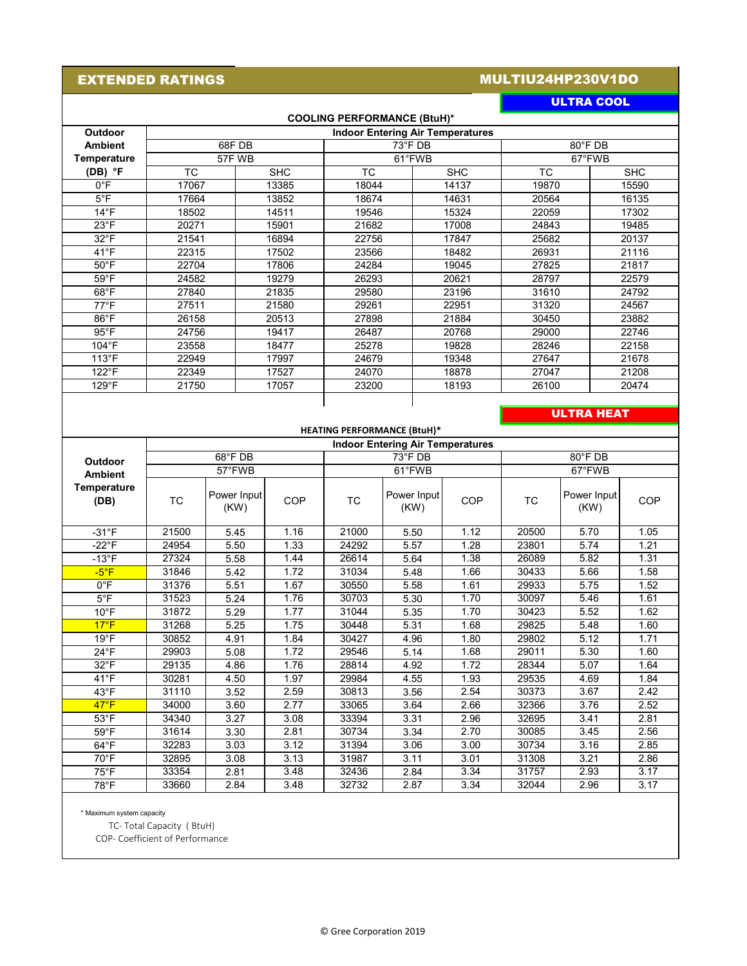#### EXTENDED RATINGS

### MULTIU24HP230V1DO

| <b>LIRA COO</b> |  |
|-----------------|--|
|                 |  |
|                 |  |

| <b>COOLING PERFORMANCE (BtuH)*</b> |                                         |            |       |                  |       |            |  |  |
|------------------------------------|-----------------------------------------|------------|-------|------------------|-------|------------|--|--|
| <b>Outdoor</b>                     | <b>Indoor Entering Air Temperatures</b> |            |       |                  |       |            |  |  |
| <b>Ambient</b>                     |                                         | 68FDB      |       | $73^{\circ}$ FDB |       | 80°F DB    |  |  |
| Temperature                        |                                         | 57F WB     |       | 61°FWB           |       | 67°FWB     |  |  |
| $(DB)$ °F                          | ТC                                      | <b>SHC</b> | TC.   | <b>SHC</b>       | TC.   | <b>SHC</b> |  |  |
| $0^{\circ}$ F                      | 17067                                   | 13385      | 18044 | 14137            | 19870 | 15590      |  |  |
| $5^{\circ}$ F                      | 17664                                   | 13852      | 18674 | 14631            | 20564 | 16135      |  |  |
| $14^{\circ}$ F                     | 18502                                   | 14511      | 19546 | 15324            | 22059 | 17302      |  |  |
| $23^{\circ}$ F                     | 20271                                   | 15901      | 21682 | 17008            | 24843 | 19485      |  |  |
| $32^{\circ}$ F                     | 21541                                   | 16894      | 22756 | 17847            | 25682 | 20137      |  |  |
| $41^{\circ}$ F                     | 22315                                   | 17502      | 23566 | 18482            | 26931 | 21116      |  |  |
| $50^{\circ}$ F                     | 22704                                   | 17806      | 24284 | 19045            | 27825 | 21817      |  |  |
| $59^{\circ}$ F                     | 24582                                   | 19279      | 26293 | 20621            | 28797 | 22579      |  |  |
| $68^{\circ}$ F                     | 27840                                   | 21835      | 29580 | 23196            | 31610 | 24792      |  |  |
| $77^{\circ}$ F                     | 27511                                   | 21580      | 29261 | 22951            | 31320 | 24567      |  |  |
| $86^{\circ}$ F                     | 26158                                   | 20513      | 27898 | 21884            | 30450 | 23882      |  |  |
| $95^{\circ}$ F                     | 24756                                   | 19417      | 26487 | 20768            | 29000 | 22746      |  |  |
| 104°F                              | 23558                                   | 18477      | 25278 | 19828            | 28246 | 22158      |  |  |
| $113^{\circ}F$                     | 22949                                   | 17997      | 24679 | 19348            | 27647 | 21678      |  |  |
| $122^{\circ}F$                     | 22349                                   | 17527      | 24070 | 18878            | 27047 | 21208      |  |  |
| $129^{\circ}F$                     | 21750                                   | 17057      | 23200 | 18193            | 26100 | 20474      |  |  |
|                                    |                                         |            |       |                  |       |            |  |  |

#### **ULTRA HEAT**

| <b>HEATING PERFORMANCE (BtuH)*</b> |                                         |                     |      |                    |                     |        |       |                     |            |
|------------------------------------|-----------------------------------------|---------------------|------|--------------------|---------------------|--------|-------|---------------------|------------|
|                                    | <b>Indoor Entering Air Temperatures</b> |                     |      |                    |                     |        |       |                     |            |
| <b>Outdoor</b>                     | $68^{\circ}$ FDB                        |                     |      | 73°F DB<br>80°F DB |                     |        |       |                     |            |
| <b>Ambient</b>                     | 57°FWB                                  |                     |      | 61°FWB             |                     | 67°FWB |       |                     |            |
| Temperature<br>(DB)                | ТC                                      | Power Input<br>(KW) | COP  | TC                 | Power Input<br>(KW) | COP    | TC    | Power Input<br>(KW) | <b>COP</b> |
| $-31^{\circ}$ F                    | 21500                                   | 5.45                | 1.16 | 21000              | 5.50                | 1.12   | 20500 | 5.70                | 1.05       |
| -22 $\textdegree$ F                | 24954                                   | 5.50                | 1.33 | 24292              | 5.57                | 1.28   | 23801 | 5.74                | 1.21       |
| $-13^{\circ}F$                     | 27324                                   | 5.58                | 1.44 | 26614              | 5.64                | 1.38   | 26089 | 5.82                | 1.31       |
| $-5^{\circ}$ F                     | 31846                                   | 5.42                | 1.72 | 31034              | 5.48                | 1.66   | 30433 | 5.66                | 1.58       |
| $0^{\circ}$ F                      | 31376                                   | 5.51                | 1.67 | 30550              | 5.58                | 1.61   | 29933 | 5.75                | 1.52       |
| $5^{\circ}$ F                      | 31523                                   | 5.24                | 1.76 | 30703              | 5.30                | 1.70   | 30097 | 5.46                | 1.61       |
| $10^{\circ}$ F                     | 31872                                   | 5.29                | 1.77 | 31044              | 5.35                | 1.70   | 30423 | 5.52                | 1.62       |
| $17^{\circ}F$                      | 31268                                   | 5.25                | 1.75 | 30448              | 5.31                | 1.68   | 29825 | 5.48                | 1.60       |
| $19^{\circ}$ F                     | 30852                                   | 4.91                | 1.84 | 30427              | 4.96                | 1.80   | 29802 | 5.12                | 1.71       |
| $24^{\circ}F$                      | 29903                                   | 5.08                | 1.72 | 29546              | 5.14                | 1.68   | 29011 | 5.30                | 1.60       |
| $32^{\circ}$ F                     | 29135                                   | 4.86                | 1.76 | 28814              | 4.92                | 1.72   | 28344 | 5.07                | 1.64       |
| $41^{\circ}F$                      | 30281                                   | 4.50                | 1.97 | 29984              | 4.55                | 1.93   | 29535 | 4.69                | 1.84       |
| $43^{\circ}$ F                     | 31110                                   | 3.52                | 2.59 | 30813              | 3.56                | 2.54   | 30373 | 3.67                | 2.42       |
| 47°F                               | 34000                                   | 3.60                | 2.77 | 33065              | 3.64                | 2.66   | 32366 | 3.76                | 2.52       |
| $53^{\circ}$ F                     | 34340                                   | 3.27                | 3.08 | 33394              | 3.31                | 2.96   | 32695 | 3.41                | 2.81       |
| $59^{\circ}$ F                     | 31614                                   | 3.30                | 2.81 | 30734              | 3.34                | 2.70   | 30085 | 3.45                | 2.56       |
| $64^{\circ}F$                      | 32283                                   | 3.03                | 3.12 | 31394              | 3.06                | 3.00   | 30734 | 3.16                | 2.85       |
| $70^{\circ}$ F                     | 32895                                   | 3.08                | 3.13 | 31987              | 3.11                | 3.01   | 31308 | 3.21                | 2.86       |
| $75^{\circ}$ F                     | 33354                                   | 2.81                | 3.48 | 32436              | 2.84                | 3.34   | 31757 | 2.93                | 3.17       |
| $78^{\circ}$ F                     | 33660                                   | 2.84                | 3.48 | 32732              | 2.87                | 3.34   | 32044 | 2.96                | 3.17       |

\* Maximum system capacity

TC- Total Capacity ( BtuH)

COP- Coefficient of Performance